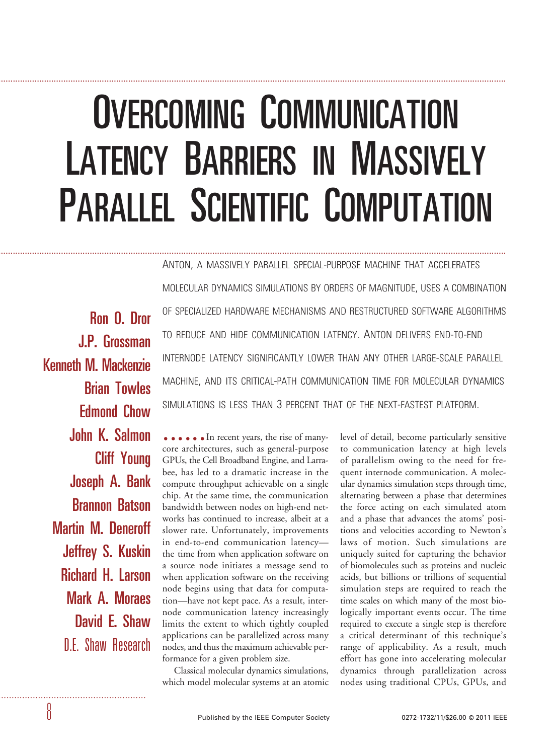# OVERCOMING COMMUNICATION LATENCY BARRIERS IN MASSIVELY PARALLEL SCIENTIFIC COMPUTATION

..........................................................................................................................................................................................................................

..........................................................................................................................................................................................................................

Ron O. Dror J.P. Grossman Kenneth M. Mackenzie Brian Towles Edmond Chow John K. Salmon Cliff Young Joseph A. Bank Brannon Batson Martin M. Deneroff Jeffrey S. Kuskin Richard H. Larson Mark A. Moraes David E. Shaw D.E. Shaw Research

..............................................................

ANTON, A MASSIVELY PARALLEL SPECIAL-PURPOSE MACHINE THAT ACCELERATES MOLECULAR DYNAMICS SIMULATIONS BY ORDERS OF MAGNITUDE, USES A COMBINATION OF SPECIALIZED HARDWARE MECHANISMS AND RESTRUCTURED SOFTWARE ALGORITHMS TO REDUCE AND HIDE COMMUNICATION LATENCY. ANTON DELIVERS END-TO-END INTERNODE LATENCY SIGNIFICANTLY LOWER THAN ANY OTHER LARGE-SCALE PARALLEL MACHINE, AND ITS CRITICAL-PATH COMMUNICATION TIME FOR MOLECULAR DYNAMICS SIMULATIONS IS LESS THAN 3 PERCENT THAT OF THE NEXT-FASTEST PLATFORM.

 $\bullet \bullet \bullet \bullet \bullet \bullet$  In recent years, the rise of manycore architectures, such as general-purpose GPUs, the Cell Broadband Engine, and Larrabee, has led to a dramatic increase in the compute throughput achievable on a single chip. At the same time, the communication bandwidth between nodes on high-end networks has continued to increase, albeit at a slower rate. Unfortunately, improvements in end-to-end communication latency the time from when application software on a source node initiates a message send to when application software on the receiving node begins using that data for computation—have not kept pace. As a result, internode communication latency increasingly limits the extent to which tightly coupled applications can be parallelized across many nodes, and thus the maximum achievable performance for a given problem size.

Classical molecular dynamics simulations, which model molecular systems at an atomic level of detail, become particularly sensitive to communication latency at high levels of parallelism owing to the need for frequent internode communication. A molecular dynamics simulation steps through time, alternating between a phase that determines the force acting on each simulated atom and a phase that advances the atoms' positions and velocities according to Newton's laws of motion. Such simulations are uniquely suited for capturing the behavior of biomolecules such as proteins and nucleic acids, but billions or trillions of sequential simulation steps are required to reach the time scales on which many of the most biologically important events occur. The time required to execute a single step is therefore a critical determinant of this technique's range of applicability. As a result, much effort has gone into accelerating molecular dynamics through parallelization across nodes using traditional CPUs, GPUs, and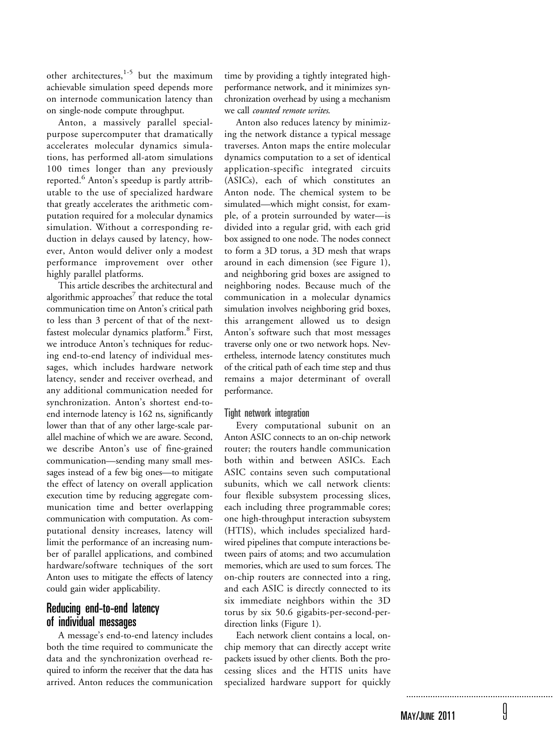other architectures, $1-5$  but the maximum achievable simulation speed depends more on internode communication latency than on single-node compute throughput.

Anton, a massively parallel specialpurpose supercomputer that dramatically accelerates molecular dynamics simulations, has performed all-atom simulations 100 times longer than any previously reported.<sup>6</sup> Anton's speedup is partly attributable to the use of specialized hardware that greatly accelerates the arithmetic computation required for a molecular dynamics simulation. Without a corresponding reduction in delays caused by latency, however, Anton would deliver only a modest performance improvement over other highly parallel platforms.

This article describes the architectural and algorithmic approaches<sup>7</sup> that reduce the total communication time on Anton's critical path to less than 3 percent of that of the nextfastest molecular dynamics platform.<sup>8</sup> First, we introduce Anton's techniques for reducing end-to-end latency of individual messages, which includes hardware network latency, sender and receiver overhead, and any additional communication needed for synchronization. Anton's shortest end-toend internode latency is 162 ns, significantly lower than that of any other large-scale parallel machine of which we are aware. Second, we describe Anton's use of fine-grained communication—sending many small messages instead of a few big ones—to mitigate the effect of latency on overall application execution time by reducing aggregate communication time and better overlapping communication with computation. As computational density increases, latency will limit the performance of an increasing number of parallel applications, and combined hardware/software techniques of the sort Anton uses to mitigate the effects of latency could gain wider applicability.

# Reducing end-to-end latency of individual messages

A message's end-to-end latency includes both the time required to communicate the data and the synchronization overhead required to inform the receiver that the data has arrived. Anton reduces the communication

time by providing a tightly integrated highperformance network, and it minimizes synchronization overhead by using a mechanism we call counted remote writes.

Anton also reduces latency by minimizing the network distance a typical message traverses. Anton maps the entire molecular dynamics computation to a set of identical application-specific integrated circuits (ASICs), each of which constitutes an Anton node. The chemical system to be simulated—which might consist, for example, of a protein surrounded by water—is divided into a regular grid, with each grid box assigned to one node. The nodes connect to form a 3D torus, a 3D mesh that wraps around in each dimension (see Figure 1), and neighboring grid boxes are assigned to neighboring nodes. Because much of the communication in a molecular dynamics simulation involves neighboring grid boxes, this arrangement allowed us to design Anton's software such that most messages traverse only one or two network hops. Nevertheless, internode latency constitutes much of the critical path of each time step and thus remains a major determinant of overall performance.

## Tight network integration

Every computational subunit on an Anton ASIC connects to an on-chip network router; the routers handle communication both within and between ASICs. Each ASIC contains seven such computational subunits, which we call network clients: four flexible subsystem processing slices, each including three programmable cores; one high-throughput interaction subsystem (HTIS), which includes specialized hardwired pipelines that compute interactions between pairs of atoms; and two accumulation memories, which are used to sum forces. The on-chip routers are connected into a ring, and each ASIC is directly connected to its six immediate neighbors within the 3D torus by six 50.6 gigabits-per-second-perdirection links (Figure 1).

Each network client contains a local, onchip memory that can directly accept write packets issued by other clients. Both the processing slices and the HTIS units have specialized hardware support for quickly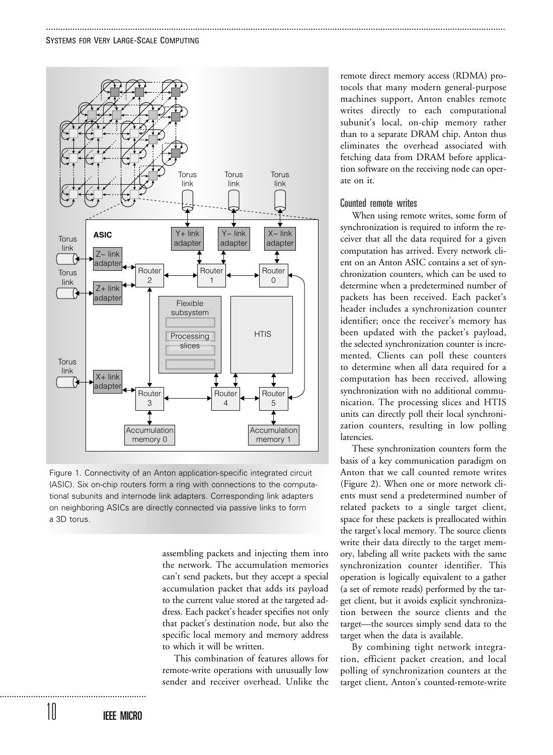

...............................................................................................................................................................................................

Figure 1. Connectivity of an Anton application-specific integrated circuit (ASIC). Six on-chip routers form a ring with connections to the computational subunits and internode link adapters. Corresponding link adapters on neighboring ASICs are directly connected via passive links to form a 3D torus.

assembling packets and injecting them into the network. The accumulation memories can't send packets, but they accept a special accumulation packet that adds its payload to the current value stored at the targeted address. Each packet's header specifies not only that packet's destination node, but also the specific local memory and memory address to which it will be written.

This combination of features allows for remote-write operations with unusually low sender and receiver overhead. Unlike the remote direct memory access (RDMA) protocols that many modern general-purpose machines support, Anton enables remote writes directly to each computational subunit's local, on-chip memory rather than to a separate DRAM chip. Anton thus eliminates the overhead associated with fetching data from DRAM before application software on the receiving node can operate on it.

#### Counted remote writes

When using remote writes, some form of synchronization is required to inform the receiver that all the data required for a given computation has arrived. Every network client on an Anton ASIC contains a set of synchronization counters, which can be used to determine when a predetermined number of packets has been received. Each packet's header includes a synchronization counter identifier; once the receiver's memory has been updated with the packet's payload, the selected synchronization counter is incremented. Clients can poll these counters to determine when all data required for a computation has been received, allowing synchronization with no additional communication. The processing slices and HTIS units can directly poll their local synchronization counters, resulting in low polling latencies.

These synchronization counters form the basis of a key communication paradigm on Anton that we call counted remote writes (Figure 2). When one or more network clients must send a predetermined number of related packets to a single target client, space for these packets is preallocated within the target's local memory. The source clients write their data directly to the target memory, labeling all write packets with the same synchronization counter identifier. This operation is logically equivalent to a gather (a set of remote reads) performed by the target client, but it avoids explicit synchronization between the source clients and the target—the sources simply send data to the target when the data is available.

By combining tight network integration, efficient packet creation, and local polling of synchronization counters at the target client, Anton's counted-remote-write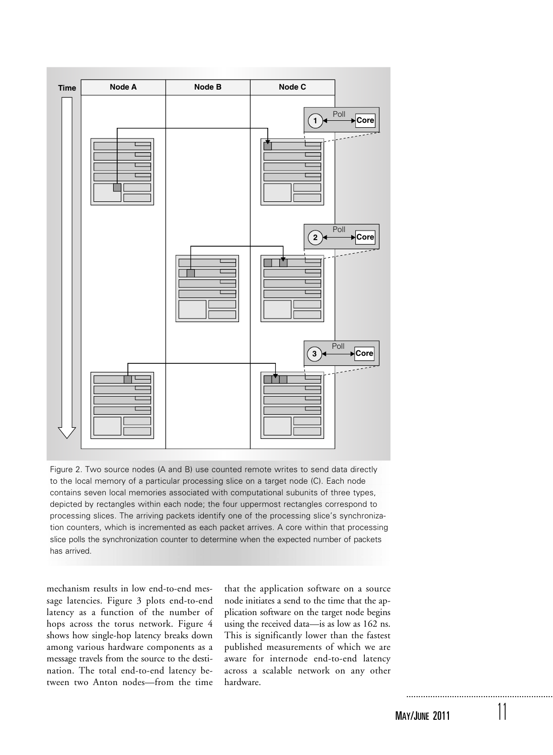

Figure 2. Two source nodes (A and B) use counted remote writes to send data directly to the local memory of a particular processing slice on a target node (C). Each node contains seven local memories associated with computational subunits of three types, depicted by rectangles within each node; the four uppermost rectangles correspond to processing slices. The arriving packets identify one of the processing slice's synchronization counters, which is incremented as each packet arrives. A core within that processing slice polls the synchronization counter to determine when the expected number of packets has arrived.

mechanism results in low end-to-end message latencies. Figure 3 plots end-to-end latency as a function of the number of hops across the torus network. Figure 4 shows how single-hop latency breaks down among various hardware components as a message travels from the source to the destination. The total end-to-end latency between two Anton nodes—from the time

that the application software on a source node initiates a send to the time that the application software on the target node begins using the received data—is as low as 162 ns. This is significantly lower than the fastest published measurements of which we are aware for internode end-to-end latency across a scalable network on any other hardware.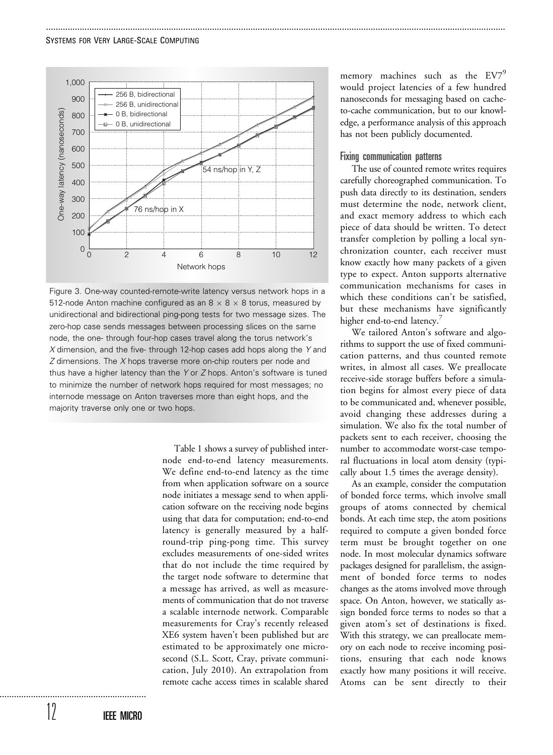

...............................................................................................................................................................................................

Figure 3. One-way counted-remote-write latency versus network hops in a 512-node Anton machine configured as an  $8 \times 8 \times 8$  torus, measured by unidirectional and bidirectional ping-pong tests for two message sizes. The zero-hop case sends messages between processing slices on the same node, the one- through four-hop cases travel along the torus network's  $X$  dimension, and the five- through 12-hop cases add hops along the Y and  $Z$  dimensions. The  $X$  hops traverse more on-chip routers per node and thus have a higher latency than the Y or Z hops. Anton's software is tuned to minimize the number of network hops required for most messages; no internode message on Anton traverses more than eight hops, and the majority traverse only one or two hops.

Table 1 shows a survey of published internode end-to-end latency measurements. We define end-to-end latency as the time from when application software on a source node initiates a message send to when application software on the receiving node begins using that data for computation; end-to-end latency is generally measured by a halfround-trip ping-pong time. This survey excludes measurements of one-sided writes that do not include the time required by the target node software to determine that a message has arrived, as well as measurements of communication that do not traverse a scalable internode network. Comparable measurements for Cray's recently released XE6 system haven't been published but are estimated to be approximately one microsecond (S.L. Scott, Cray, private communication, July 2010). An extrapolation from remote cache access times in scalable shared

memory machines such as the EV7<sup>9</sup> would project latencies of a few hundred nanoseconds for messaging based on cacheto-cache communication, but to our knowledge, a performance analysis of this approach has not been publicly documented.

### Fixing communication patterns

The use of counted remote writes requires carefully choreographed communication. To push data directly to its destination, senders must determine the node, network client, and exact memory address to which each piece of data should be written. To detect transfer completion by polling a local synchronization counter, each receiver must know exactly how many packets of a given type to expect. Anton supports alternative communication mechanisms for cases in which these conditions can't be satisfied, but these mechanisms have significantly higher end-to-end latency.<sup>7</sup>

We tailored Anton's software and algorithms to support the use of fixed communication patterns, and thus counted remote writes, in almost all cases. We preallocate receive-side storage buffers before a simulation begins for almost every piece of data to be communicated and, whenever possible, avoid changing these addresses during a simulation. We also fix the total number of packets sent to each receiver, choosing the number to accommodate worst-case temporal fluctuations in local atom density (typically about 1.5 times the average density).

As an example, consider the computation of bonded force terms, which involve small groups of atoms connected by chemical bonds. At each time step, the atom positions required to compute a given bonded force term must be brought together on one node. In most molecular dynamics software packages designed for parallelism, the assignment of bonded force terms to nodes changes as the atoms involved move through space. On Anton, however, we statically assign bonded force terms to nodes so that a given atom's set of destinations is fixed. With this strategy, we can preallocate memory on each node to receive incoming positions, ensuring that each node knows exactly how many positions it will receive. Atoms can be sent directly to their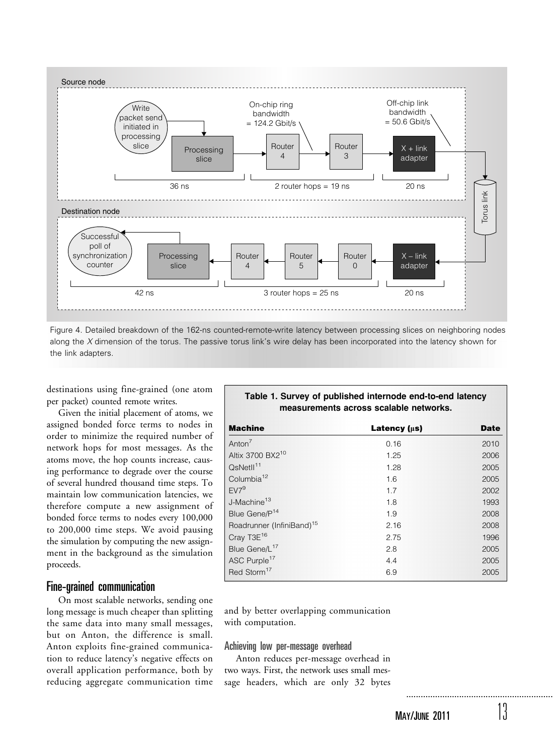

Figure 4. Detailed breakdown of the 162-ns counted-remote-write latency between processing slices on neighboring nodes along the X dimension of the torus. The passive torus link's wire delay has been incorporated into the latency shown for the link adapters.

destinations using fine-grained (one atom per packet) counted remote writes.

Given the initial placement of atoms, we assigned bonded force terms to nodes in order to minimize the required number of network hops for most messages. As the atoms move, the hop counts increase, causing performance to degrade over the course of several hundred thousand time steps. To maintain low communication latencies, we therefore compute a new assignment of bonded force terms to nodes every 100,000 to 200,000 time steps. We avoid pausing the simulation by computing the new assignment in the background as the simulation proceeds.

## Fine-grained communication

On most scalable networks, sending one long message is much cheaper than splitting the same data into many small messages, but on Anton, the difference is small. Anton exploits fine-grained communication to reduce latency's negative effects on overall application performance, both by reducing aggregate communication time

## Table 1. Survey of published internode end-to-end latency measurements across scalable networks.

| <b>Machine</b>                        | Latency $(\mu s)$ | <b>Date</b> |
|---------------------------------------|-------------------|-------------|
| Anton <sup>7</sup>                    | 0.16              | 2010        |
| Altix 3700 BX2 <sup>10</sup>          | 1.25              | 2006        |
| QsNetII <sup>11</sup>                 | 1.28              | 2005        |
| Columbia <sup>12</sup>                | 1.6               | 2005        |
| EV7 <sup>9</sup>                      | 1.7               | 2002        |
| J-Machine <sup>13</sup>               | 1.8               | 1993        |
| Blue Gene/P <sup>14</sup>             | 1.9               | 2008        |
| Roadrunner (InfiniBand) <sup>15</sup> | 2.16              | 2008        |
| Cray T3E <sup>16</sup>                | 2.75              | 1996        |
| Blue Gene/L <sup>17</sup>             | 2.8               | 2005        |
| ASC Purple <sup>17</sup>              | 4.4               | 2005        |
| Red Storm <sup>17</sup>               | 6.9               | 2005        |

and by better overlapping communication with computation.

#### Achieving low per-message overhead

Anton reduces per-message overhead in two ways. First, the network uses small message headers, which are only 32 bytes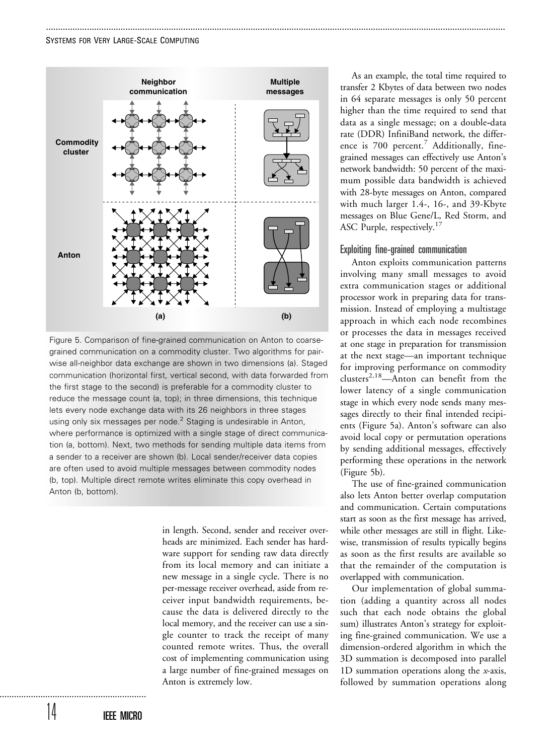

...............................................................................................................................................................................................

Figure 5. Comparison of fine-grained communication on Anton to coarsegrained communication on a commodity cluster. Two algorithms for pairwise all-neighbor data exchange are shown in two dimensions (a). Staged communication (horizontal first, vertical second, with data forwarded from the first stage to the second) is preferable for a commodity cluster to reduce the message count (a, top); in three dimensions, this technique lets every node exchange data with its 26 neighbors in three stages using only six messages per node.<sup>2</sup> Staging is undesirable in Anton, where performance is optimized with a single stage of direct communication (a, bottom). Next, two methods for sending multiple data items from a sender to a receiver are shown (b). Local sender/receiver data copies are often used to avoid multiple messages between commodity nodes (b, top). Multiple direct remote writes eliminate this copy overhead in Anton (b, bottom).

in length. Second, sender and receiver overheads are minimized. Each sender has hardware support for sending raw data directly from its local memory and can initiate a new message in a single cycle. There is no per-message receiver overhead, aside from receiver input bandwidth requirements, because the data is delivered directly to the local memory, and the receiver can use a single counter to track the receipt of many counted remote writes. Thus, the overall cost of implementing communication using a large number of fine-grained messages on Anton is extremely low.

As an example, the total time required to transfer 2 Kbytes of data between two nodes in 64 separate messages is only 50 percent higher than the time required to send that data as a single message; on a double-data rate (DDR) InfiniBand network, the difference is  $700$  percent.<sup>7</sup> Additionally, finegrained messages can effectively use Anton's network bandwidth: 50 percent of the maximum possible data bandwidth is achieved with 28-byte messages on Anton, compared with much larger 1.4-, 16-, and 39-Kbyte messages on Blue Gene/L, Red Storm, and ASC Purple, respectively.<sup>17</sup>

#### Exploiting fine-grained communication

Anton exploits communication patterns involving many small messages to avoid extra communication stages or additional processor work in preparing data for transmission. Instead of employing a multistage approach in which each node recombines or processes the data in messages received at one stage in preparation for transmission at the next stage—an important technique for improving performance on commodity  $clusters<sup>2,18</sup>$ —Anton can benefit from the lower latency of a single communication stage in which every node sends many messages directly to their final intended recipients (Figure 5a). Anton's software can also avoid local copy or permutation operations by sending additional messages, effectively performing these operations in the network (Figure 5b).

The use of fine-grained communication also lets Anton better overlap computation and communication. Certain computations start as soon as the first message has arrived, while other messages are still in flight. Likewise, transmission of results typically begins as soon as the first results are available so that the remainder of the computation is overlapped with communication.

Our implementation of global summation (adding a quantity across all nodes such that each node obtains the global sum) illustrates Anton's strategy for exploiting fine-grained communication. We use a dimension-ordered algorithm in which the 3D summation is decomposed into parallel 1D summation operations along the x-axis, followed by summation operations along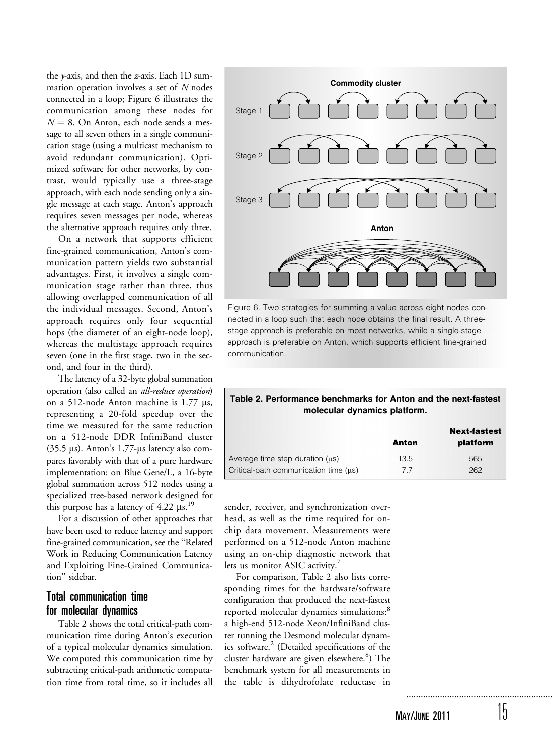the  $y$ -axis, and then the *z*-axis. Each 1D summation operation involves a set of  $N$  nodes connected in a loop; Figure 6 illustrates the communication among these nodes for  $N = 8$ . On Anton, each node sends a message to all seven others in a single communication stage (using a multicast mechanism to avoid redundant communication). Optimized software for other networks, by contrast, would typically use a three-stage approach, with each node sending only a single message at each stage. Anton's approach requires seven messages per node, whereas the alternative approach requires only three.

On a network that supports efficient fine-grained communication, Anton's communication pattern yields two substantial advantages. First, it involves a single communication stage rather than three, thus allowing overlapped communication of all the individual messages. Second, Anton's approach requires only four sequential hops (the diameter of an eight-node loop), whereas the multistage approach requires seven (one in the first stage, two in the second, and four in the third).

The latency of a 32-byte global summation operation (also called an all-reduce operation) on a 512-node Anton machine is  $1.77 \mu s$ , representing a 20-fold speedup over the time we measured for the same reduction on a 512-node DDR InfiniBand cluster  $(35.5 \,\mu s)$ . Anton's 1.77- $\mu s$  latency also compares favorably with that of a pure hardware implementation: on Blue Gene/L, a 16-byte global summation across 512 nodes using a specialized tree-based network designed for this purpose has a latency of  $4.22 \text{ }\mu\text{s}$ .<sup>19</sup>

For a discussion of other approaches that have been used to reduce latency and support fine-grained communication, see the ''Related Work in Reducing Communication Latency and Exploiting Fine-Grained Communication'' sidebar.

## Total communication time for molecular dynamics

Table 2 shows the total critical-path communication time during Anton's execution of a typical molecular dynamics simulation. We computed this communication time by subtracting critical-path arithmetic computation time from total time, so it includes all



Figure 6. Two strategies for summing a value across eight nodes connected in a loop such that each node obtains the final result. A threestage approach is preferable on most networks, while a single-stage approach is preferable on Anton, which supports efficient fine-grained communication.

## Table 2. Performance benchmarks for Anton and the next-fastest molecular dynamics platform.

|                                              | Anton | <b>Next-fastest</b><br>platform |
|----------------------------------------------|-------|---------------------------------|
| Average time step duration $(\mu s)$         | 13.5  | 565                             |
| Critical-path communication time ( $\mu s$ ) | 77    | 262                             |

sender, receiver, and synchronization overhead, as well as the time required for onchip data movement. Measurements were performed on a 512-node Anton machine using an on-chip diagnostic network that lets us monitor ASIC activity.<sup>7</sup>

For comparison, Table 2 also lists corresponding times for the hardware/software configuration that produced the next-fastest reported molecular dynamics simulations:<sup>8</sup> a high-end 512-node Xeon/InfiniBand cluster running the Desmond molecular dynamics software.<sup>2</sup> (Detailed specifications of the cluster hardware are given elsewhere.<sup>8</sup>) The benchmark system for all measurements in the table is dihydrofolate reductase in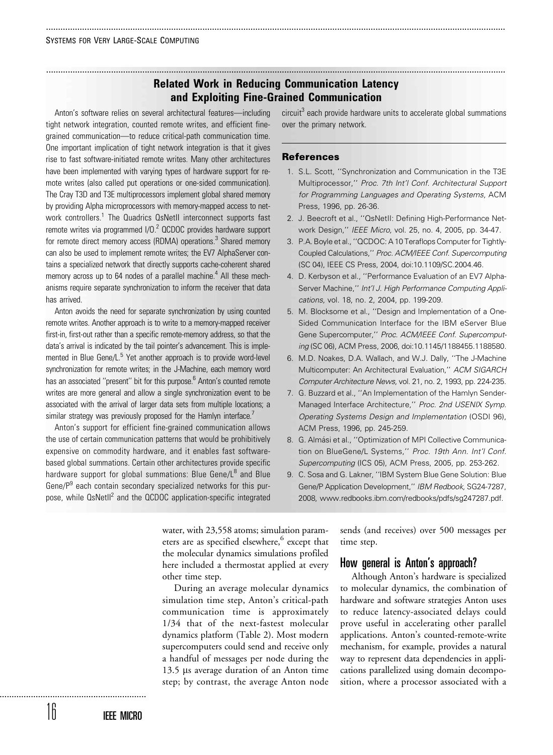# Related Work in Reducing Communication Latency and Exploiting Fine-Grained Communication

...............................................................................................................................................................................................

...............................................................................................................................................................................................

Anton's software relies on several architectural features—including tight network integration, counted remote writes, and efficient finegrained communication—to reduce critical-path communication time. One important implication of tight network integration is that it gives rise to fast software-initiated remote writes. Many other architectures have been implemented with varying types of hardware support for remote writes (also called put operations or one-sided communication). The Cray T3D and T3E multiprocessors implement global shared memory by providing Alpha microprocessors with memory-mapped access to network controllers.<sup>1</sup> The Quadrics QsNetII interconnect supports fast remote writes via programmed I/O.<sup>2</sup> QCDOC provides hardware support for remote direct memory access (RDMA) operations.<sup>3</sup> Shared memory can also be used to implement remote writes; the EV7 AlphaServer contains a specialized network that directly supports cache-coherent shared memory across up to 64 nodes of a parallel machine.<sup>4</sup> All these mechanisms require separate synchronization to inform the receiver that data has arrived.

Anton avoids the need for separate synchronization by using counted remote writes. Another approach is to write to a memory-mapped receiver first-in, first-out rather than a specific remote-memory address, so that the data's arrival is indicated by the tail pointer's advancement. This is implemented in Blue Gene/L.<sup>5</sup> Yet another approach is to provide word-level synchronization for remote writes; in the J-Machine, each memory word has an associated "present" bit for this purpose.<sup>6</sup> Anton's counted remote writes are more general and allow a single synchronization event to be associated with the arrival of larger data sets from multiple locations; a similar strategy was previously proposed for the Hamlyn interface.<sup>7</sup>

Anton's support for efficient fine-grained communication allows the use of certain communication patterns that would be prohibitively expensive on commodity hardware, and it enables fast softwarebased global summations. Certain other architectures provide specific hardware support for global summations: Blue Gene/ $L^8$  and Blue Gene/ $P<sup>9</sup>$  each contain secondary specialized networks for this purpose, while QsNetll<sup>2</sup> and the QCDOC application-specific integrated  $circuit<sup>3</sup>$  each provide hardware units to accelerate global summations over the primary network.

## **References**

- 1. S.L. Scott, ''Synchronization and Communication in the T3E Multiprocessor,'' Proc. 7th Int'l Conf. Architectural Support for Programming Languages and Operating Systems, ACM Press, 1996, pp. 26-36.
- 2. J. Beecroft et al., ''QsNetII: Defining High-Performance Network Design,'' IEEE Micro, vol. 25, no. 4, 2005, pp. 34-47.
- 3. P.A. Boyle et al., ''QCDOC: A 10 Teraflops Computer for Tightly-Coupled Calculations,'' Proc. ACM/IEEE Conf. Supercomputing (SC 04), IEEE CS Press, 2004, doi:10.1109/SC.2004.46.
- 4. D. Kerbyson et al., ''Performance Evaluation of an EV7 Alpha-Server Machine,'' Int'l J. High Performance Computing Applications, vol. 18, no. 2, 2004, pp. 199-209.
- 5. M. Blocksome et al., ''Design and Implementation of a One-Sided Communication Interface for the IBM eServer Blue Gene Supercomputer,'' Proc. ACM/IEEE Conf. Supercomputing (SC 06), ACM Press, 2006, doi:10.1145/1188455.1188580.
- 6. M.D. Noakes, D.A. Wallach, and W.J. Dally, ''The J-Machine Multicomputer: An Architectural Evaluation,'' ACM SIGARCH Computer Architecture News, vol. 21, no. 2, 1993, pp. 224-235.
- 7. G. Buzzard et al., ''An Implementation of the Hamlyn Sender-Managed Interface Architecture,'' Proc. 2nd USENIX Symp. Operating Systems Design and Implementation (OSDI 96), ACM Press, 1996, pp. 245-259.
- 8. G. Almási et al., "Optimization of MPI Collective Communication on BlueGene/L Systems," Proc. 19th Ann. Int'l Conf. Supercomputing (ICS 05), ACM Press, 2005, pp. 253-262.
- 9. C. Sosa and G. Lakner, ''IBM System Blue Gene Solution: Blue Gene/P Application Development,'' IBM Redbook, SG24-7287, 2008, www.redbooks.ibm.com/redbooks/pdfs/sg247287.pdf.

water, with 23,558 atoms; simulation parameters are as specified elsewhere,<sup>6</sup> except that the molecular dynamics simulations profiled here included a thermostat applied at every other time step.

During an average molecular dynamics simulation time step, Anton's critical-path communication time is approximately 1/34 that of the next-fastest molecular dynamics platform (Table 2). Most modern supercomputers could send and receive only a handful of messages per node during the 13.5 µs average duration of an Anton time step; by contrast, the average Anton node

sends (and receives) over 500 messages per time step.

## How general is Anton's approach?

Although Anton's hardware is specialized to molecular dynamics, the combination of hardware and software strategies Anton uses to reduce latency-associated delays could prove useful in accelerating other parallel applications. Anton's counted-remote-write mechanism, for example, provides a natural way to represent data dependencies in applications parallelized using domain decomposition, where a processor associated with a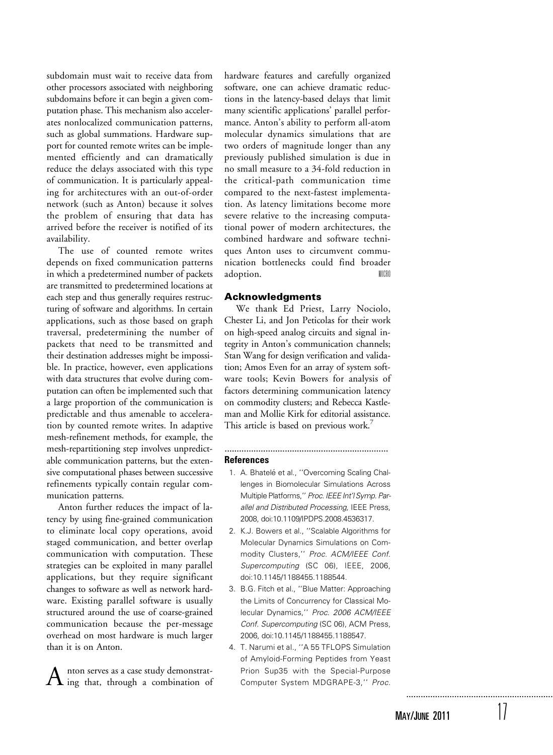subdomain must wait to receive data from other processors associated with neighboring subdomains before it can begin a given computation phase. This mechanism also accelerates nonlocalized communication patterns, such as global summations. Hardware support for counted remote writes can be implemented efficiently and can dramatically reduce the delays associated with this type of communication. It is particularly appealing for architectures with an out-of-order network (such as Anton) because it solves the problem of ensuring that data has arrived before the receiver is notified of its availability.

The use of counted remote writes depends on fixed communication patterns in which a predetermined number of packets are transmitted to predetermined locations at each step and thus generally requires restructuring of software and algorithms. In certain applications, such as those based on graph traversal, predetermining the number of packets that need to be transmitted and their destination addresses might be impossible. In practice, however, even applications with data structures that evolve during computation can often be implemented such that a large proportion of the communication is predictable and thus amenable to acceleration by counted remote writes. In adaptive mesh-refinement methods, for example, the mesh-repartitioning step involves unpredictable communication patterns, but the extensive computational phases between successive refinements typically contain regular communication patterns.

Anton further reduces the impact of latency by using fine-grained communication to eliminate local copy operations, avoid staged communication, and better overlap communication with computation. These strategies can be exploited in many parallel applications, but they require significant changes to software as well as network hardware. Existing parallel software is usually structured around the use of coarse-grained communication because the per-message overhead on most hardware is much larger than it is on Anton.

 $A$  nton serves as a case study demonstrat-<br>ing that, through a combination of

hardware features and carefully organized software, one can achieve dramatic reductions in the latency-based delays that limit many scientific applications' parallel performance. Anton's ability to perform all-atom molecular dynamics simulations that are two orders of magnitude longer than any previously published simulation is due in no small measure to a 34-fold reduction in the critical-path communication time compared to the next-fastest implementation. As latency limitations become more severe relative to the increasing computational power of modern architectures, the combined hardware and software techniques Anton uses to circumvent communication bottlenecks could find broader adoption. MICRO

#### Acknowledgments

We thank Ed Priest, Larry Nociolo, Chester Li, and Jon Peticolas for their work on high-speed analog circuits and signal integrity in Anton's communication channels; Stan Wang for design verification and validation; Amos Even for an array of system software tools; Kevin Bowers for analysis of factors determining communication latency on commodity clusters; and Rebecca Kastleman and Mollie Kirk for editorial assistance. This article is based on previous work.<sup>7</sup>

#### References

1. A. Bhatelé et al., "Overcoming Scaling Challenges in Biomolecular Simulations Across Multiple Platforms,'' Proc. IEEE Int'l Symp. Parallel and Distributed Processing, IEEE Press, 2008, doi:10.1109/IPDPS.2008.4536317.

....................................................................

- 2. K.J. Bowers et al., ''Scalable Algorithms for Molecular Dynamics Simulations on Commodity Clusters,'' Proc. ACM/IEEE Conf. Supercomputing (SC 06), IEEE, 2006, doi:10.1145/1188455.1188544.
- 3. B.G. Fitch et al., ''Blue Matter: Approaching the Limits of Concurrency for Classical Molecular Dynamics,'' Proc. 2006 ACM/IEEE Conf. Supercomputing (SC 06), ACM Press, 2006, doi:10.1145/1188455.1188547.
- 4. T. Narumi et al., ''A 55 TFLOPS Simulation of Amyloid-Forming Peptides from Yeast Prion Sup35 with the Special-Purpose Computer System MDGRAPE-3,'' Proc.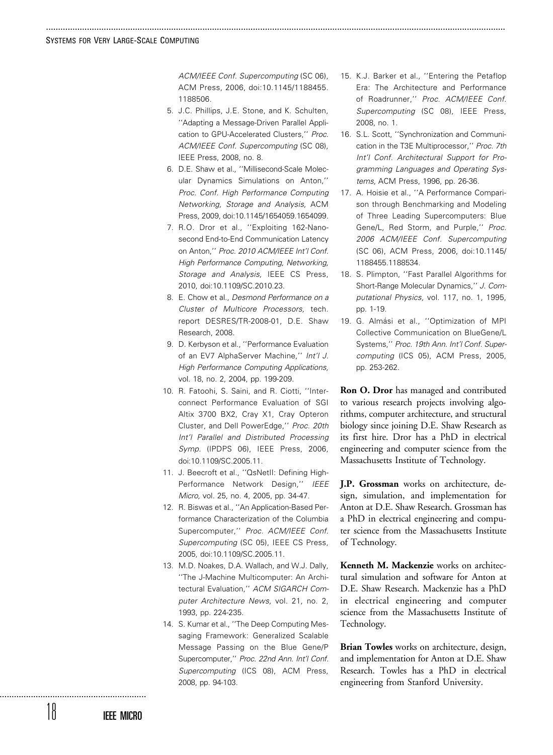ACM/IEEE Conf. Supercomputing (SC 06), ACM Press, 2006, doi:10.1145/1188455. 1188506.

...............................................................................................................................................................................................

- 5. J.C. Phillips, J.E. Stone, and K. Schulten, ''Adapting a Message-Driven Parallel Application to GPU-Accelerated Clusters,'' Proc. ACM/IEEE Conf. Supercomputing (SC 08), IEEE Press, 2008, no. 8.
- 6. D.E. Shaw et al., ''Millisecond-Scale Molecular Dynamics Simulations on Anton,'' Proc. Conf. High Performance Computing Networking, Storage and Analysis, ACM Press, 2009, doi:10.1145/1654059.1654099.
- 7. R.O. Dror et al., ''Exploiting 162-Nanosecond End-to-End Communication Latency on Anton," Proc. 2010 ACM/IEEE Int'l Conf. High Performance Computing, Networking, Storage and Analysis, IEEE CS Press, 2010, doi:10.1109/SC.2010.23.
- 8. E. Chow et al., Desmond Performance on a Cluster of Multicore Processors, tech. report DESRES/TR-2008-01, D.E. Shaw Research, 2008.
- 9. D. Kerbyson et al., ''Performance Evaluation of an EV7 AlphaServer Machine," Int'l J. High Performance Computing Applications, vol. 18, no. 2, 2004, pp. 199-209.
- 10. R. Fatoohi, S. Saini, and R. Ciotti, ''Interconnect Performance Evaluation of SGI Altix 3700 BX2, Cray X1, Cray Opteron Cluster, and Dell PowerEdge,'' Proc. 20th Int'l Parallel and Distributed Processing Symp. (IPDPS 06), IEEE Press, 2006, doi:10.1109/SC.2005.11.
- 11. J. Beecroft et al., ''QsNetII: Defining High-Performance Network Design,'' IEEE Micro, vol. 25, no. 4, 2005, pp. 34-47.
- 12. R. Biswas et al., ''An Application-Based Performance Characterization of the Columbia Supercomputer,'' Proc. ACM/IEEE Conf. Supercomputing (SC 05), IEEE CS Press, 2005, doi:10.1109/SC.2005.11.
- 13. M.D. Noakes, D.A. Wallach, and W.J. Dally, ''The J-Machine Multicomputer: An Architectural Evaluation," ACM SIGARCH Computer Architecture News, vol. 21, no. 2, 1993, pp. 224-235.
- 14. S. Kumar et al., ''The Deep Computing Messaging Framework: Generalized Scalable Message Passing on the Blue Gene/P Supercomputer,'' Proc. 22nd Ann. Int'l Conf. Supercomputing (ICS 08), ACM Press, 2008, pp. 94-103.
- 15. K.J. Barker et al., ''Entering the Petaflop Era: The Architecture and Performance of Roadrunner,'' Proc. ACM/IEEE Conf. Supercomputing (SC 08), IEEE Press, 2008, no. 1.
- 16. S.L. Scott, ''Synchronization and Communication in the T3E Multiprocessor,'' Proc. 7th Int'l Conf. Architectural Support for Programming Languages and Operating Systems, ACM Press, 1996, pp. 26-36.
- 17. A. Hoisie et al., ''A Performance Comparison through Benchmarking and Modeling of Three Leading Supercomputers: Blue Gene/L, Red Storm, and Purple,'' Proc. 2006 ACM/IEEE Conf. Supercomputing (SC 06), ACM Press, 2006, doi:10.1145/ 1188455.1188534.
- 18. S. Plimpton, ''Fast Parallel Algorithms for Short-Range Molecular Dynamics,'' J. Computational Physics, vol. 117, no. 1, 1995, pp. 1-19.
- 19. G. Almási et al., "Optimization of MPI Collective Communication on BlueGene/L Systems,'' Proc. 19th Ann. Int'l Conf. Supercomputing (ICS 05), ACM Press, 2005, pp. 253-262.

Ron O. Dror has managed and contributed to various research projects involving algorithms, computer architecture, and structural biology since joining D.E. Shaw Research as its first hire. Dror has a PhD in electrical engineering and computer science from the Massachusetts Institute of Technology.

J.P. Grossman works on architecture, design, simulation, and implementation for Anton at D.E. Shaw Research. Grossman has a PhD in electrical engineering and computer science from the Massachusetts Institute of Technology.

Kenneth M. Mackenzie works on architectural simulation and software for Anton at D.E. Shaw Research. Mackenzie has a PhD in electrical engineering and computer science from the Massachusetts Institute of Technology.

Brian Towles works on architecture, design, and implementation for Anton at D.E. Shaw Research. Towles has a PhD in electrical engineering from Stanford University.